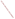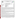**UNITED STATES ENVIRONMENTAL PROTECTION AGENCY** UNITED STATED Office of Research and Development Washington, D.C. 20460 ENVIRONMENTAL TECHNOLOGY **ENTAL PROTEC** VERIFICATION PROGRAM **ENVIRONMENTAL TECHNOLOGY VERIFICATION PROGRAM VERIFICATION STATEMENT** TECHNOLOGY TYPE: **FIELD PORTABLE X-RAY FLUORESCENCE ANALYZER**  APPLICATION: **MEASUREMENT OF METALS IN SOIL**  TECHNOLOGY NAME: **XL SPECTRUM ANALYZER**  COMPANY: **NITON CORPORATION**  ADDRESS: **74 LOOMIS ST. P.O. BOX 368 BEDFORD, MA 01730-0368**  PHONE: **(617) 275-9275** 

The U.S. Environmental Protection Agency (EPA) has created a program to facilitate the deployment of innovative technologies through performance verification and information dissemination. The goal of the Environmental Technology Verification (ETV) Program is to further environmental protection by substantially accelerating the acceptance and use of improved and more cost-effective technologies. The ETV Program is intended to assist and inform those involved in the design, distribution, permitting, and purchase of environmental technologies. This document summarizes the results of a demonstration of the Niton XL Spectrum Analyzer.

## **PROGRAM OPERATION**

The EPA, in partnership with recognized testing organizations, objectively and systematically evaluates the performance of innovative technologies. Together, with the full participation of the technology developer, they develop plans, conduct tests, collect and analyze data, and report findings. The evaluations are conducted according to a rigorous demonstration plan and established protocols for quality assurance. The EPA's National Exposure Research Laboratory, which conducts demonstrations of field characterization and monitoring technologies, selected PRC Environmental Management, Inc., as the testing organization for the performance verification of field portable X-ray fluorescence (FPXRF) analyzers.

## **DEMONSTRATION DESCRIPTION**

In April 1995, the performance of seven FPXRF analyzers was determined under field conditions. Each analyzer was independently evaluated by comparing field analysis results to those obtained using approved reference methods. Standard reference materials (SRM) and performance evaluation (PE) samples also were used to independently assess the accuracy and comparability of each instrument.

The demonstration was designed to detect and measure a series of inorganic analytes in soil. The primary target analytes were arsenic, barium, chromium, copper, lead, and zinc; nickel, iron, cadmium, and antimony were secondary analytes. The demonstration sites were located in Iowa (the RV Hopkins site) and Washington (the ASARCO site). These sites were chosen because they exhibit a wide range of concentrations for most of the target metals and are located in different climatological regions of the United States; combined, they exhibit three distinct soil types: sand, clay, and loam. The conditions at these sites are representative of those environments under which the technology would be expected to operate. Details of the demonstration, including a data summary and

iii



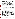discussion of results, may be found in the report entitled "Environmental Technology Verification Report, Field Portable X-ray Fluorescence Analyzer, Niton XL Spectrum Analyzer." The EPA document number for this report is EPA/600/R-97/150.

The EPA Method 6200 was tested and validated using the data derived from this demonstration. This method may be used to support the general application of FPXRF for environmental analysis.

## **TECHNOLOGY DESCRIPTION**

This analyzer operates on the principle of energy dispersive X-ray fluorescence spectroscopy where the characteristic components of the excited X-ray spectrum are analyzed directly by an energy proportional response in an X-ray detector. Energy dispersion affords a highly efficient, full-spectrum measurement that enables the use of low intensity excitation sources (such as radioisotopes) and compact battery-powered, field-portable electronics. FPXRF instruments are designed to provide rapid analysis of metals in soil. This information allows investigation and remediation decisions to be made on-site and reduces the number of samples that need to be submitted for laboratory analysis. In the operation of these instruments, the user must be aware that FPXRF analyzers do not respond well to chromium and that detection limits may be 5 to 10 times greater than conventional laboratory methods. As with all field collection programs, a portion of the samples should be sent to a laboratory for confirmatory analyses.

The Niton XL Spectrum Analyzer was originally designed to produce quantitative data for lead in painted surfaces. This demonstration found that it could also provide quantitative data for metals contamination in soil. It is a handheld instrument, weighing less than 3 pounds, and can be battery powered up to 8 hours. It uses a single radioactive source (cadmium-109) and a silicon pin-diode detector for the analysis of metals in soil using relatively short count times (60 seconds). The single radioactive source limits the number of analytes that can be detected. For the purposes of this demonstration, the XL Spectrum Analyzer's "SOILAIR" software was configured to report concentrations of arsenic, chromium, copper, lead, and zinc in soil samples. The XL Spectrum Analyzer was initially calibrated by the developer using the Compton normalization method to quantitate metals. The XL Spectrum Analyzer can conduct *in situ* measurements or measure samples in cups. The cost of the Niton XL Spectrum Analyzer was \$11,990 at the time of the demonstration, or it could be leased for \$2,200 per month.

## **VERIFICATION OF PERFORMANCE**

The performance characteristics of the Niton XL Spectrum Analyzer include the following:

- **Detection limits:** Precision-based detection limits were determined by collecting 10 replicate measurements on site-specific soil samples with metals concentrations 2 to 5 times the expected MDLs. The results were 130 milligrams per kilogram (mg/kg) or less for all of the reported target analytes except chromium, which was determined to be 900 mg/kg.
- **Throughput:** Average throughput was 20 25 analyses per hour using a live count time of 60 seconds. This rate only represents the analysis time since different personnel were used to prepare the samples.
- **Drift:** This was evaluated using the results of an analysis of an SRM calibration check sample which contained quantifiable levels of arsenic, copper, lead, zinc, and iron. Over the course of the demonstration, this sample was analyzed approximately 100 times. The mean recovery for these analytes was between 85 and 140 percent. The drift RSD for the mean recovery of these analytes was less than 8 percent.
- **Completeness:** The XL Spectrum Analyzer produced results for 1,258 of the 1,260 samples for a completeness of 99.8 percent. The two lost data points were a consequence of operator error.
- **Blank results:** More than 100 lithium carbonate blanks were analyzed during the demonstration. None of the reported analytes were observed above the method detection limits.
- **Precision:** The goal of the demonstration was to achieve relative standard deviations (RSD) less than 20 percent at analyte concentrations of 5 to 10 times the method detection limits. The RSD value for arsenic was